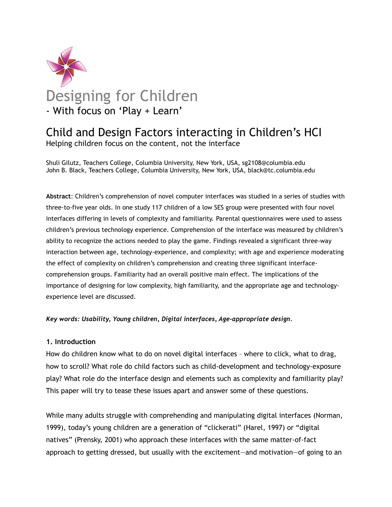

# Child and Design Factors interacting in Children's HCI

Helping children focus on the content, not the interface

Shuli Gilutz, Teachers College, Columbia University, New York, USA, sg2108@columbia.edu John B. Black, Teachers College, Columbia University, New York, USA, black@tc.columbia.edu

**Abstract**: Children's comprehension of novel computer interfaces was studied in a series of studies with three-to-five year olds. In one study 117 children of a low SES group were presented with four novel interfaces differing in levels of complexity and familiarity. Parental questionnaires were used to assess children's previous technology experience. Comprehension of the interface was measured by children's ability to recognize the actions needed to play the game. Findings revealed a significant three-way interaction between age, technology-experience, and complexity; with age and experience moderating the effect of complexity on children's comprehension and creating three significant interfacecomprehension groups. Familiarity had an overall positive main effect. The implications of the importance of designing for low complexity, high familiarity, and the appropriate age and technologyexperience level are discussed.

*Key words: Usability, Young children, Digital interfaces, Age-appropriate design.*

#### **1. Introduction**

How do children know what to do on novel digital interfaces – where to click, what to drag, how to scroll? What role do child factors such as child-development and technology-exposure play? What role do the interface design and elements such as complexity and familiarity play? This paper will try to tease these issues apart and answer some of these questions.

While many adults struggle with comprehending and manipulating digital interfaces (Norman, 1999), today's young children are a generation of "clickerati" (Harel, 1997) or "digital natives" (Prensky, 2001) who approach these interfaces with the same matter-of-fact approach to getting dressed, but usually with the excitement—and motivation—of going to an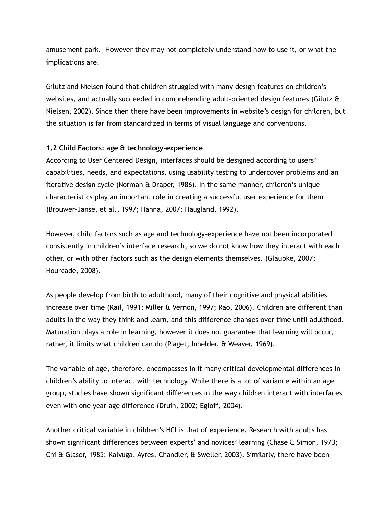amusement park. However they may not completely understand how to use it, or what the implications are.

Gilutz and Nielsen found that children struggled with many design features on children's websites, and actually succeeded in comprehending adult-oriented design features (Gilutz & Nielsen, 2002). Since then there have been improvements in website's design for children, but the situation is far from standardized in terms of visual language and conventions.

## **1.2 Child Factors: age & technology-experience**

According to User Centered Design, interfaces should be designed according to users' capabilities, needs, and expectations, using usability testing to undercover problems and an iterative design cycle (Norman & Draper, 1986). In the same manner, children's unique characteristics play an important role in creating a successful user experience for them (Brouwer-Janse, et al., 1997; Hanna, 2007; Haugland, 1992).

However, child factors such as age and technology-experience have not been incorporated consistently in children's interface research, so we do not know how they interact with each other, or with other factors such as the design elements themselves. (Glaubke, 2007; Hourcade, 2008).

As people develop from birth to adulthood, many of their cognitive and physical abilities increase over time (Kail, 1991; Miller & Vernon, 1997; Rao, 2006). Children are different than adults in the way they think and learn, and this difference changes over time until adulthood. Maturation plays a role in learning, however it does not guarantee that learning will occur, rather, it limits what children can do (Piaget, Inhelder, & Weaver, 1969).

The variable of age, therefore, encompasses in it many critical developmental differences in children's ability to interact with technology. While there is a lot of variance within an age group, studies have shown significant differences in the way children interact with interfaces even with one year age difference (Druin, 2002; Egloff, 2004).

Another critical variable in children's HCI is that of experience. Research with adults has shown significant differences between experts' and novices' learning (Chase & Simon, 1973; Chi & Glaser, 1985; Kalyuga, Ayres, Chandler, & Sweller, 2003). Similarly, there have been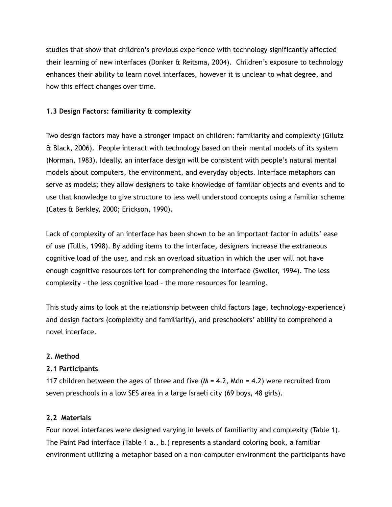studies that show that children's previous experience with technology significantly affected their learning of new interfaces (Donker & Reitsma, 2004). Children's exposure to technology enhances their ability to learn novel interfaces, however it is unclear to what degree, and how this effect changes over time.

## **1.3 Design Factors: familiarity & complexity**

Two design factors may have a stronger impact on children: familiarity and complexity (Gilutz & Black, 2006). People interact with technology based on their mental models of its system (Norman, 1983). Ideally, an interface design will be consistent with people's natural mental models about computers, the environment, and everyday objects. Interface metaphors can serve as models; they allow designers to take knowledge of familiar objects and events and to use that knowledge to give structure to less well understood concepts using a familiar scheme (Cates & Berkley, 2000; Erickson, 1990).

Lack of complexity of an interface has been shown to be an important factor in adults' ease of use (Tullis, 1998). By adding items to the interface, designers increase the extraneous cognitive load of the user, and risk an overload situation in which the user will not have enough cognitive resources left for comprehending the interface (Sweller, 1994). The less complexity – the less cognitive load – the more resources for learning.

This study aims to look at the relationship between child factors (age, technology-experience) and design factors (complexity and familiarity), and preschoolers' ability to comprehend a novel interface.

#### **2. Method**

#### **2.1 Participants**

117 children between the ages of three and five  $(M = 4.2, Mdn = 4.2)$  were recruited from seven preschools in a low SES area in a large Israeli city (69 boys, 48 girls).

#### **2.2 Materials**

Four novel interfaces were designed varying in levels of familiarity and complexity (Table 1). The Paint Pad interface (Table 1 a., b.) represents a standard coloring book, a familiar environment utilizing a metaphor based on a non-computer environment the participants have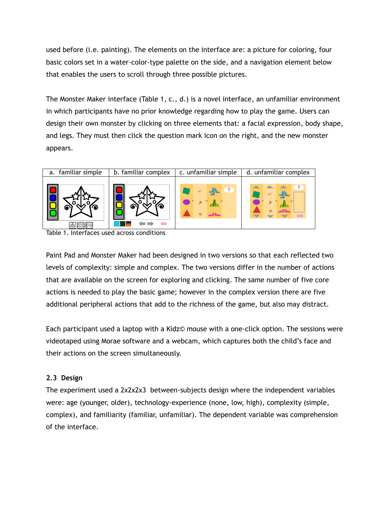used before (i.e. painting). The elements on the interface are: a picture for coloring, four basic colors set in a water-color-type palette on the side, and a navigation element below that enables the users to scroll through three possible pictures.

The Monster Maker interface (Table 1, c., d.) is a novel interface, an unfamiliar environment in which participants have no prior knowledge regarding how to play the game. Users can design their own monster by clicking on three elements that: a facial expression, body shape, and legs. They must then click the question mark icon on the right, and the new monster appears.



Table 1. Interfaces used across conditions

Paint Pad and Monster Maker had been designed in two versions so that each reflected two levels of complexity: simple and complex. The two versions differ in the number of actions that are available on the screen for exploring and clicking. The same number of five core actions is needed to play the basic game; however in the complex version there are five additional peripheral actions that add to the richness of the game, but also may distract.

Each participant used a laptop with a Kidz© mouse with a one-click option. The sessions were videotaped using Morae software and a webcam, which captures both the child's face and their actions on the screen simultaneously.

# **2.3 Design**

The experiment used a 2x2x2x3 between-subjects design where the independent variables were: age (younger, older), technology-experience (none, low, high), complexity (simple, complex), and familiarity (familiar, unfamiliar). The dependent variable was comprehension of the interface.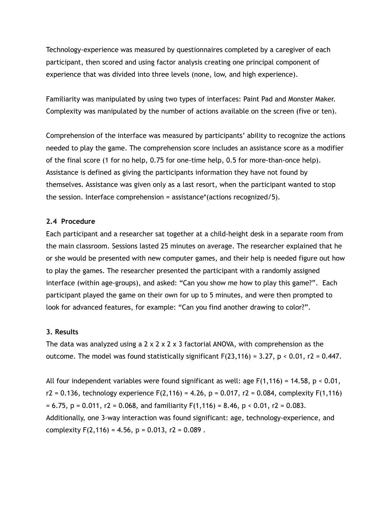Technology-experience was measured by questionnaires completed by a caregiver of each participant, then scored and using factor analysis creating one principal component of experience that was divided into three levels (none, low, and high experience).

Familiarity was manipulated by using two types of interfaces: Paint Pad and Monster Maker. Complexity was manipulated by the number of actions available on the screen (five or ten).

Comprehension of the interface was measured by participants' ability to recognize the actions needed to play the game. The comprehension score includes an assistance score as a modifier of the final score (1 for no help, 0.75 for one-time help, 0.5 for more-than-once help). Assistance is defined as giving the participants information they have not found by themselves. Assistance was given only as a last resort, when the participant wanted to stop the session. Interface comprehension = assistance\*(actions recognized/5).

#### **2.4 Procedure**

Each participant and a researcher sat together at a child-height desk in a separate room from the main classroom. Sessions lasted 25 minutes on average. The researcher explained that he or she would be presented with new computer games, and their help is needed figure out how to play the games. The researcher presented the participant with a randomly assigned interface (within age-groups), and asked: "Can you show me how to play this game?". Each participant played the game on their own for up to 5 minutes, and were then prompted to look for advanced features, for example: "Can you find another drawing to color?".

#### **3. Results**

The data was analyzed using a  $2 \times 2 \times 2 \times 3$  factorial ANOVA, with comprehension as the outcome. The model was found statistically significant  $F(23,116) = 3.27$ ,  $p < 0.01$ ,  $r2 = 0.447$ .

All four independent variables were found significant as well: age  $F(1,116) = 14.58$ ,  $p < 0.01$ ,  $r2 = 0.136$ , technology experience  $F(2,116) = 4.26$ , p = 0.017, r2 = 0.084, complexity  $F(1,116)$  $= 6.75$ ,  $p = 0.011$ ,  $r2 = 0.068$ , and familiarity  $F(1,116) = 8.46$ ,  $p < 0.01$ ,  $r2 = 0.083$ . Additionally, one 3-way interaction was found significant: age, technology-experience, and complexity  $F(2,116) = 4.56$ ,  $p = 0.013$ ,  $r2 = 0.089$ .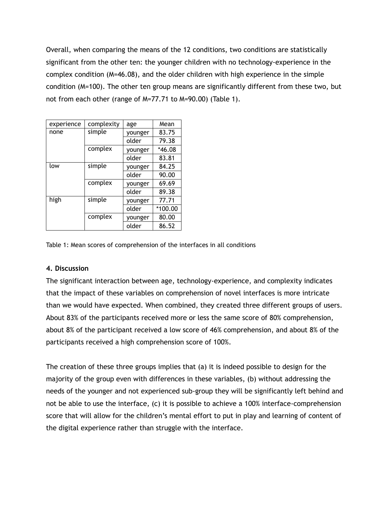Overall, when comparing the means of the 12 conditions, two conditions are statistically significant from the other ten: the younger children with no technology-experience in the complex condition (M=46.08), and the older children with high experience in the simple condition (M=100). The other ten group means are significantly different from these two, but not from each other (range of M=77.71 to M=90.00) (Table 1).

| experience | complexity | age     | Mean     |
|------------|------------|---------|----------|
| none       | simple     | younger | 83.75    |
|            |            | older   | 79.38    |
|            | complex    | younger | $*46.08$ |
|            |            | older   | 83.81    |
| low        | simple     | younger | 84.25    |
|            |            | older   | 90.00    |
|            | complex    | younger | 69.69    |
|            |            | older   | 89.38    |
| high       | simple     | younger | 77.71    |
|            |            | older   | *100.00  |
|            | complex    | younger | 80.00    |
|            |            | older   | 86.52    |

Table 1: Mean scores of comprehension of the interfaces in all conditions

#### **4. Discussion**

The significant interaction between age, technology-experience, and complexity indicates that the impact of these variables on comprehension of novel interfaces is more intricate than we would have expected. When combined, they created three different groups of users. About 83% of the participants received more or less the same score of 80% comprehension, about 8% of the participant received a low score of 46% comprehension, and about 8% of the participants received a high comprehension score of 100%.

The creation of these three groups implies that (a) it is indeed possible to design for the majority of the group even with differences in these variables, (b) without addressing the needs of the younger and not experienced sub-group they will be significantly left behind and not be able to use the interface, (c) it is possible to achieve a 100% interface-comprehension score that will allow for the children's mental effort to put in play and learning of content of the digital experience rather than struggle with the interface.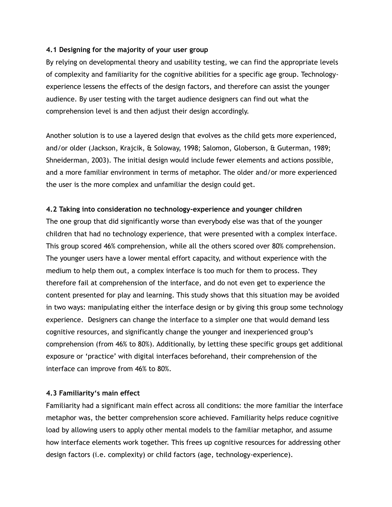#### **4.1 Designing for the majority of your user group**

By relying on developmental theory and usability testing, we can find the appropriate levels of complexity and familiarity for the cognitive abilities for a specific age group. Technologyexperience lessens the effects of the design factors, and therefore can assist the younger audience. By user testing with the target audience designers can find out what the comprehension level is and then adjust their design accordingly.

Another solution is to use a layered design that evolves as the child gets more experienced, and/or older (Jackson, Krajcik, & Soloway, 1998; Salomon, Globerson, & Guterman, 1989; Shneiderman, 2003). The initial design would include fewer elements and actions possible, and a more familiar environment in terms of metaphor. The older and/or more experienced the user is the more complex and unfamiliar the design could get.

## **4.2 Taking into consideration no technology-experience and younger children**

The one group that did significantly worse than everybody else was that of the younger children that had no technology experience, that were presented with a complex interface. This group scored 46% comprehension, while all the others scored over 80% comprehension. The younger users have a lower mental effort capacity, and without experience with the medium to help them out, a complex interface is too much for them to process. They therefore fail at comprehension of the interface, and do not even get to experience the content presented for play and learning. This study shows that this situation may be avoided in two ways: manipulating either the interface design or by giving this group some technology experience. Designers can change the interface to a simpler one that would demand less cognitive resources, and significantly change the younger and inexperienced group's comprehension (from 46% to 80%). Additionally, by letting these specific groups get additional exposure or 'practice' with digital interfaces beforehand, their comprehension of the interface can improve from 46% to 80%.

# **4.3 Familiarity's main effect**

Familiarity had a significant main effect across all conditions: the more familiar the interface metaphor was, the better comprehension score achieved. Familiarity helps reduce cognitive load by allowing users to apply other mental models to the familiar metaphor, and assume how interface elements work together. This frees up cognitive resources for addressing other design factors (i.e. complexity) or child factors (age, technology-experience).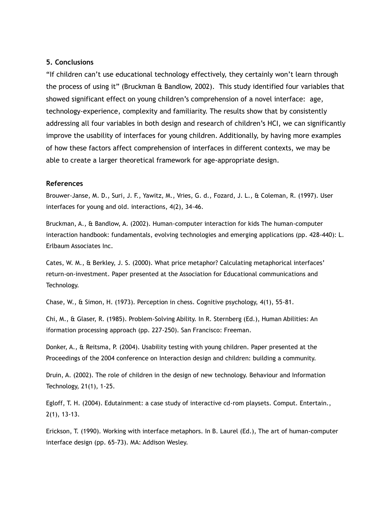#### **5. Conclusions**

"If children can't use educational technology effectively, they certainly won't learn through the process of using it" (Bruckman & Bandlow, 2002). This study identified four variables that showed significant effect on young children's comprehension of a novel interface: age, technology-experience, complexity and familiarity. The results show that by consistently addressing all four variables in both design and research of children's HCI, we can significantly improve the usability of interfaces for young children. Additionally, by having more examples of how these factors affect comprehension of interfaces in different contexts, we may be able to create a larger theoretical framework for age-appropriate design.

#### **References**

Brouwer-Janse, M. D., Suri, J. F., Yawitz, M., Vries, G. d., Fozard, J. L., & Coleman, R. (1997). User interfaces for young and old. interactions, 4(2), 34-46.

Bruckman, A., & Bandlow, A. (2002). Human-computer interaction for kids The human-computer interaction handbook: fundamentals, evolving technologies and emerging applications (pp. 428-440): L. Erlbaum Associates Inc.

Cates, W. M., & Berkley, J. S. (2000). What price metaphor? Calculating metaphorical interfaces' return-on-investment. Paper presented at the Association for Educational communications and Technology.

Chase, W., & Simon, H. (1973). Perception in chess. Cognitive psychology, 4(1), 55-81.

Chi, M., & Glaser, R. (1985). Problem-Solving Ability. In R. Sternberg (Ed.), Human Abilities: An iformation processing approach (pp. 227-250). San Francisco: Freeman.

Donker, A., & Reitsma, P. (2004). Usability testing with young children. Paper presented at the Proceedings of the 2004 conference on Interaction design and children: building a community.

Druin, A. (2002). The role of children in the design of new technology. Behaviour and Information Technology, 21(1), 1-25.

Egloff, T. H. (2004). Edutainment: a case study of interactive cd-rom playsets. Comput. Entertain., 2(1), 13-13.

Erickson, T. (1990). Working with interface metaphors. In B. Laurel (Ed.), The art of human-computer interface design (pp. 65-73). MA: Addison Wesley.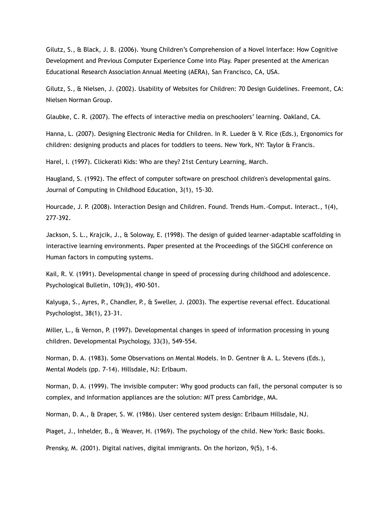Gilutz, S., & Black, J. B. (2006). Young Children's Comprehension of a Novel Interface: How Cognitive Development and Previous Computer Experience Come into Play. Paper presented at the American Educational Research Association Annual Meeting (AERA), San Francisco, CA, USA.

Gilutz, S., & Nielsen, J. (2002). Usability of Websites for Children: 70 Design Guidelines. Freemont, CA: Nielsen Norman Group.

Glaubke, C. R. (2007). The effects of interactive media on preschoolers' learning. Oakland, CA.

Hanna, L. (2007). Designing Electronic Media for Children. In R. Lueder & V. Rice (Eds.), Ergonomics for children: designing products and places for toddlers to teens. New York, NY: Taylor & Francis.

Harel, I. (1997). Clickerati Kids: Who are they? 21st Century Learning, March.

Haugland, S. (1992). The effect of computer software on preschool children's developmental gains. Journal of Computing in Childhood Education, 3(1), 15-30.

Hourcade, J. P. (2008). Interaction Design and Children. Found. Trends Hum.-Comput. Interact., 1(4), 277-392.

Jackson, S. L., Krajcik, J., & Soloway, E. (1998). The design of guided learner-adaptable scaffolding in interactive learning environments. Paper presented at the Proceedings of the SIGCHI conference on Human factors in computing systems.

Kail, R. V. (1991). Developmental change in speed of processing during childhood and adolescence. Psychological Bulletin, 109(3), 490-501.

Kalyuga, S., Ayres, P., Chandler, P., & Sweller, J. (2003). The expertise reversal effect. Educational Psychologist, 38(1), 23-31.

Miller, L., & Vernon, P. (1997). Developmental changes in speed of information processing in young children. Developmental Psychology, 33(3), 549-554.

Norman, D. A. (1983). Some Observations on Mental Models. In D. Gentner & A. L. Stevens (Eds.), Mental Models (pp. 7-14). Hillsdale, NJ: Erlbaum.

Norman, D. A. (1999). The invisible computer: Why good products can fail, the personal computer is so complex, and information appliances are the solution: MIT press Cambridge, MA.

Norman, D. A., & Draper, S. W. (1986). User centered system design: Erlbaum Hillsdale, NJ.

Piaget, J., Inhelder, B., & Weaver, H. (1969). The psychology of the child. New York: Basic Books.

Prensky, M. (2001). Digital natives, digital immigrants. On the horizon, 9(5), 1-6.